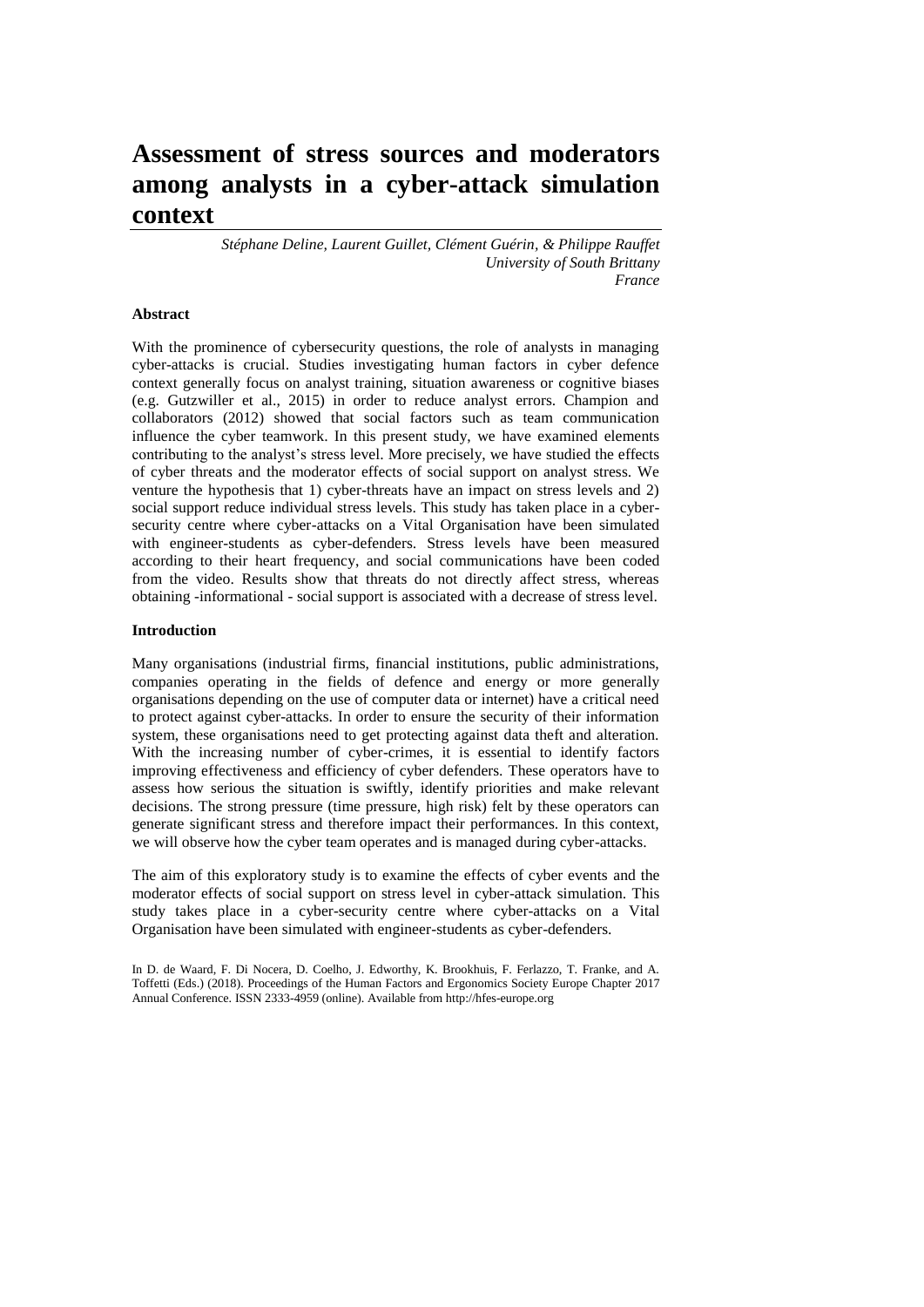# **Assessment of stress sources and moderators among analysts in a cyber-attack simulation context**

*Stéphane Deline, Laurent Guillet, Clément Guérin, & Philippe Rauffet University of South Brittany France*

## **Abstract**

With the prominence of cybersecurity questions, the role of analysts in managing cyber-attacks is crucial. Studies investigating human factors in cyber defence context generally focus on analyst training, situation awareness or cognitive biases (e.g. Gutzwiller et al., 2015) in order to reduce analyst errors. Champion and collaborators (2012) showed that social factors such as team communication influence the cyber teamwork. In this present study, we have examined elements contributing to the analyst's stress level. More precisely, we have studied the effects of cyber threats and the moderator effects of social support on analyst stress. We venture the hypothesis that 1) cyber-threats have an impact on stress levels and 2) social support reduce individual stress levels. This study has taken place in a cybersecurity centre where cyber-attacks on a Vital Organisation have been simulated with engineer-students as cyber-defenders. Stress levels have been measured according to their heart frequency, and social communications have been coded from the video. Results show that threats do not directly affect stress, whereas obtaining -informational - social support is associated with a decrease of stress level.

#### **Introduction**

Many organisations (industrial firms, financial institutions, public administrations, companies operating in the fields of defence and energy or more generally organisations depending on the use of computer data or internet) have a critical need to protect against cyber-attacks. In order to ensure the security of their information system, these organisations need to get protecting against data theft and alteration. With the increasing number of cyber-crimes, it is essential to identify factors improving effectiveness and efficiency of cyber defenders. These operators have to assess how serious the situation is swiftly, identify priorities and make relevant decisions. The strong pressure (time pressure, high risk) felt by these operators can generate significant stress and therefore impact their performances. In this context, we will observe how the cyber team operates and is managed during cyber-attacks.

The aim of this exploratory study is to examine the effects of cyber events and the moderator effects of social support on stress level in cyber-attack simulation. This study takes place in a cyber-security centre where cyber-attacks on a Vital Organisation have been simulated with engineer-students as cyber-defenders.

In D. de Waard, F. Di Nocera, D. Coelho, J. Edworthy, K. Brookhuis, F. Ferlazzo, T. Franke, and A. Toffetti (Eds.) (2018). Proceedings of the Human Factors and Ergonomics Society Europe Chapter 2017 Annual Conference. ISSN 2333-4959 (online). Available from http://hfes-europe.org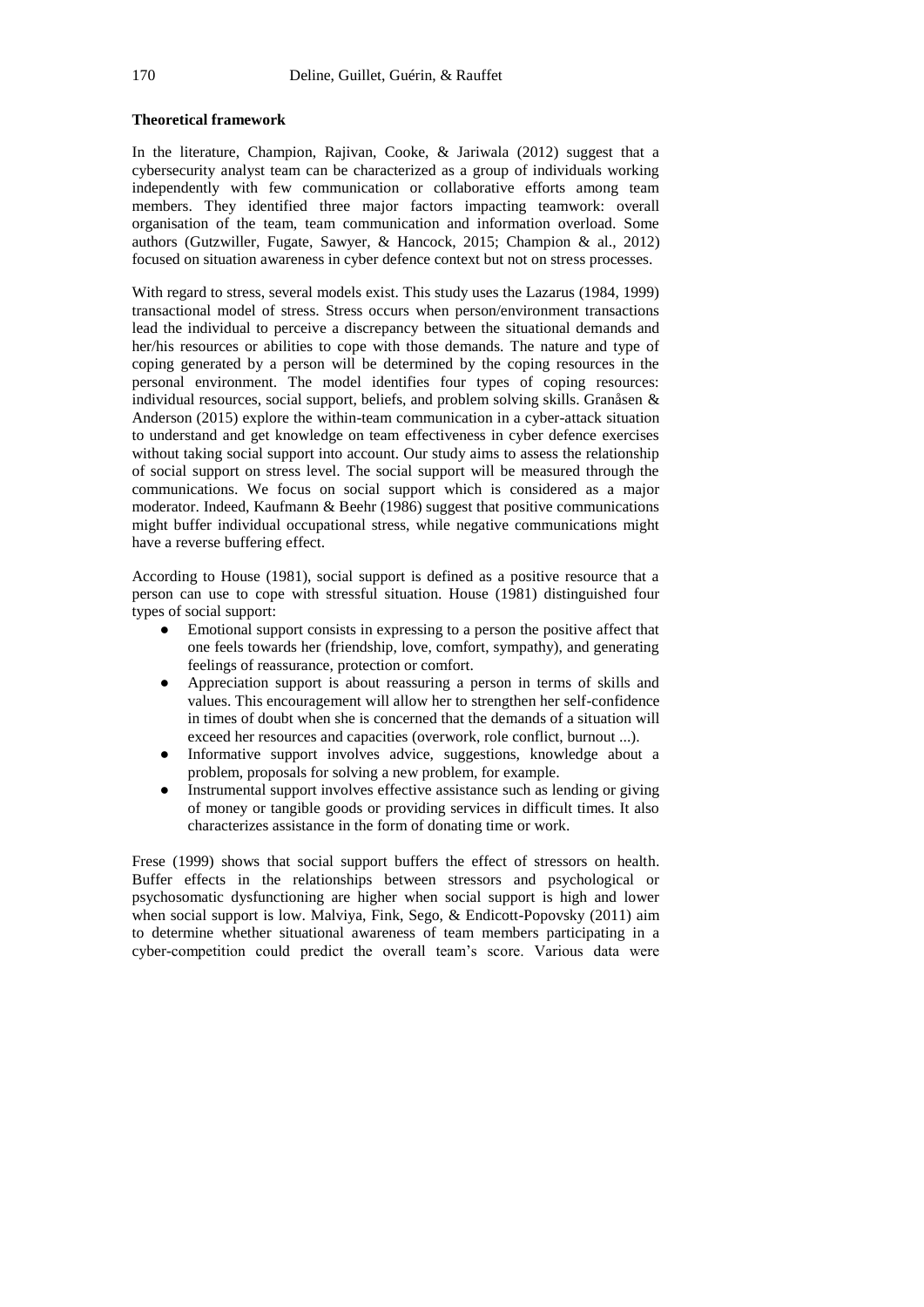## **Theoretical framework**

In the literature, Champion, Rajivan, Cooke, & Jariwala (2012) suggest that a cybersecurity analyst team can be characterized as a group of individuals working independently with few communication or collaborative efforts among team members. They identified three major factors impacting teamwork: overall organisation of the team, team communication and information overload. Some authors (Gutzwiller, Fugate, Sawyer, & Hancock, 2015; Champion & al., 2012) focused on situation awareness in cyber defence context but not on stress processes.

With regard to stress, several models exist. This study uses the Lazarus (1984, 1999) transactional model of stress. Stress occurs when person/environment transactions lead the individual to perceive a discrepancy between the situational demands and her/his resources or abilities to cope with those demands. The nature and type of coping generated by a person will be determined by the coping resources in the personal environment. The model identifies four types of coping resources: individual resources, social support, beliefs, and problem solving skills. Granåsen & Anderson (2015) explore the within-team communication in a cyber-attack situation to understand and get knowledge on team effectiveness in cyber defence exercises without taking social support into account. Our study aims to assess the relationship of social support on stress level. The social support will be measured through the communications. We focus on social support which is considered as a major moderator. Indeed, Kaufmann & Beehr (1986) suggest that positive communications might buffer individual occupational stress, while negative communications might have a reverse buffering effect.

According to House (1981), social support is defined as a positive resource that a person can use to cope with stressful situation. House (1981) distinguished four types of social support:

- Emotional support consists in expressing to a person the positive affect that one feels towards her (friendship, love, comfort, sympathy), and generating feelings of reassurance, protection or comfort.
- Appreciation support is about reassuring a person in terms of skills and values. This encouragement will allow her to strengthen her self-confidence in times of doubt when she is concerned that the demands of a situation will exceed her resources and capacities (overwork, role conflict, burnout ...).
- Informative support involves advice, suggestions, knowledge about a problem, proposals for solving a new problem, for example.
- Instrumental support involves effective assistance such as lending or giving of money or tangible goods or providing services in difficult times. It also characterizes assistance in the form of donating time or work.

Frese (1999) shows that social support buffers the effect of stressors on health. Buffer effects in the relationships between stressors and psychological or psychosomatic dysfunctioning are higher when social support is high and lower when social support is low. Malviya, Fink, Sego, & Endicott-Popovsky (2011) aim to determine whether situational awareness of team members participating in a cyber-competition could predict the overall team's score. Various data were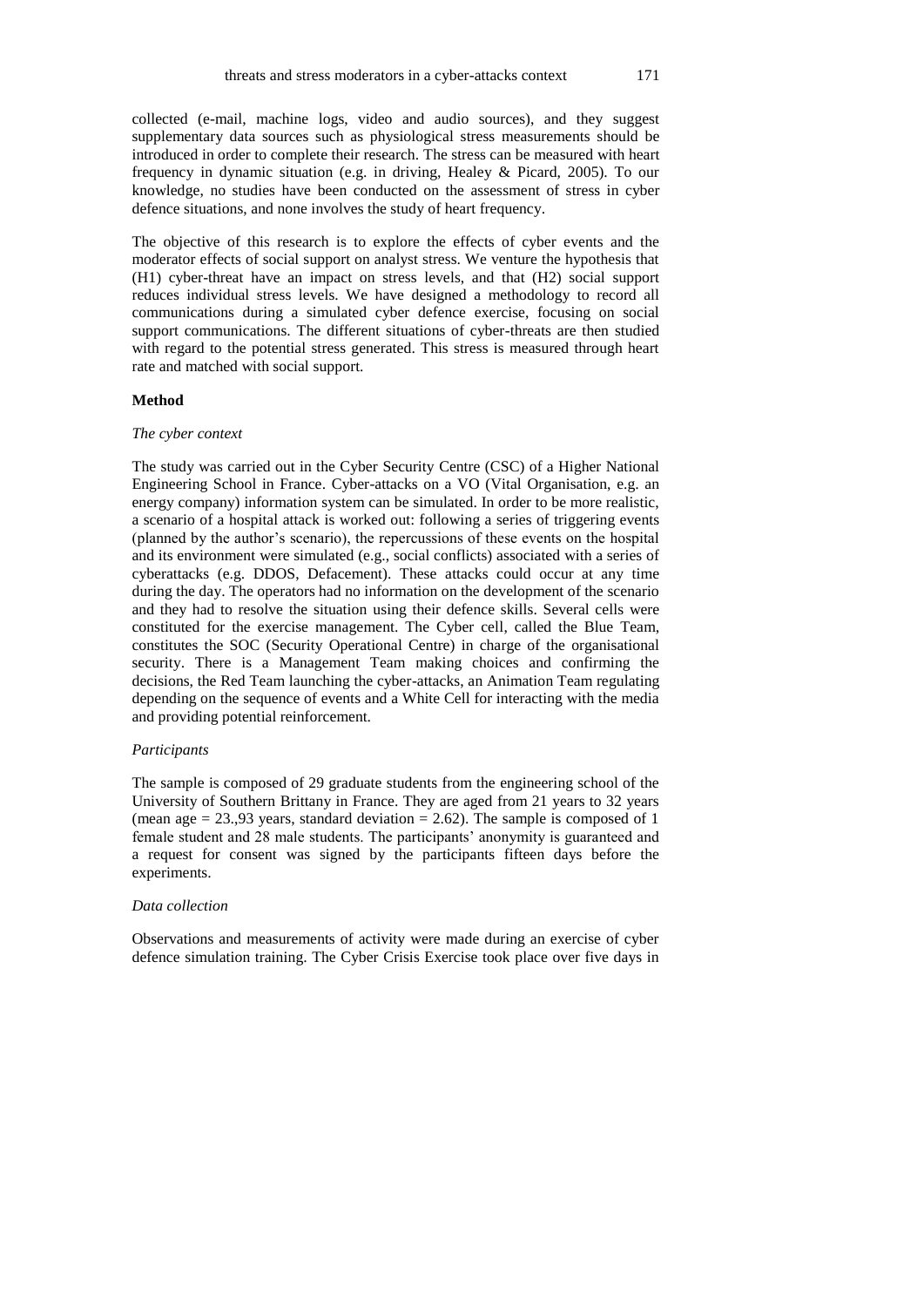collected (e-mail, machine logs, video and audio sources), and they suggest supplementary data sources such as physiological stress measurements should be introduced in order to complete their research. The stress can be measured with heart frequency in dynamic situation (e.g. in driving, Healey & Picard, 2005). To our knowledge, no studies have been conducted on the assessment of stress in cyber defence situations, and none involves the study of heart frequency.

The objective of this research is to explore the effects of cyber events and the moderator effects of social support on analyst stress. We venture the hypothesis that (H1) cyber-threat have an impact on stress levels, and that (H2) social support reduces individual stress levels. We have designed a methodology to record all communications during a simulated cyber defence exercise, focusing on social support communications. The different situations of cyber-threats are then studied with regard to the potential stress generated. This stress is measured through heart rate and matched with social support.

#### **Method**

#### *The cyber context*

The study was carried out in the Cyber Security Centre (CSC) of a Higher National Engineering School in France. Cyber-attacks on a VO (Vital Organisation, e.g. an energy company) information system can be simulated. In order to be more realistic, a scenario of a hospital attack is worked out: following a series of triggering events (planned by the author's scenario), the repercussions of these events on the hospital and its environment were simulated (e.g., social conflicts) associated with a series of cyberattacks (e.g. DDOS, Defacement). These attacks could occur at any time during the day. The operators had no information on the development of the scenario and they had to resolve the situation using their defence skills. Several cells were constituted for the exercise management. The Cyber cell, called the Blue Team, constitutes the SOC (Security Operational Centre) in charge of the organisational security. There is a Management Team making choices and confirming the decisions, the Red Team launching the cyber-attacks, an Animation Team regulating depending on the sequence of events and a White Cell for interacting with the media and providing potential reinforcement.

#### *Participants*

The sample is composed of 29 graduate students from the engineering school of the University of Southern Brittany in France. They are aged from 21 years to 32 years (mean age  $= 23.93$  years, standard deviation  $= 2.62$ ). The sample is composed of 1 female student and 28 male students. The participants' anonymity is guaranteed and a request for consent was signed by the participants fifteen days before the experiments.

#### *Data collection*

Observations and measurements of activity were made during an exercise of cyber defence simulation training. The Cyber Crisis Exercise took place over five days in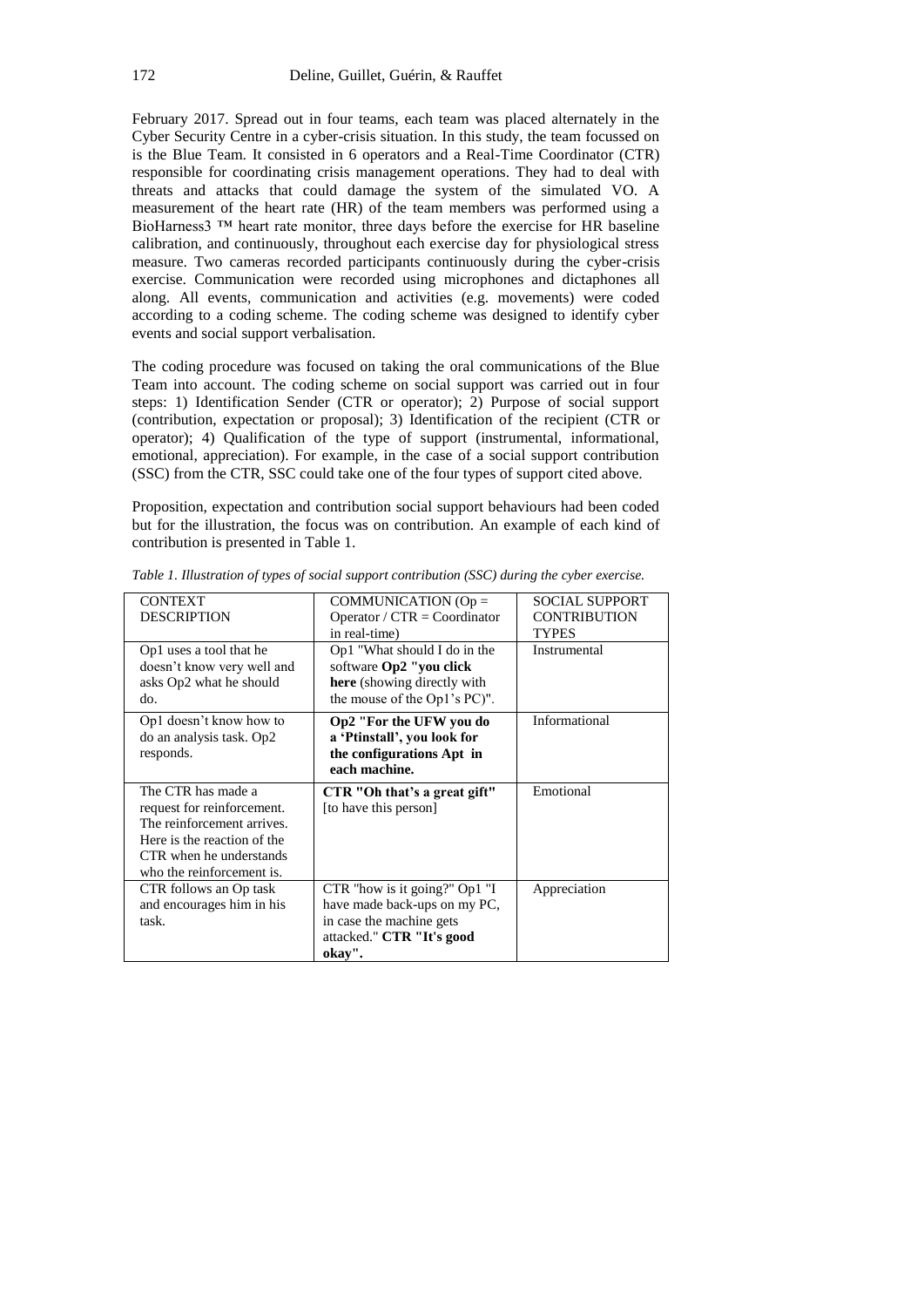February 2017. Spread out in four teams, each team was placed alternately in the Cyber Security Centre in a cyber-crisis situation. In this study, the team focussed on is the Blue Team. It consisted in 6 operators and a Real-Time Coordinator (CTR) responsible for coordinating crisis management operations. They had to deal with threats and attacks that could damage the system of the simulated VO. A measurement of the heart rate (HR) of the team members was performed using a BioHarness3 ™ heart rate monitor, three days before the exercise for HR baseline calibration, and continuously, throughout each exercise day for physiological stress measure. Two cameras recorded participants continuously during the cyber-crisis exercise. Communication were recorded using microphones and dictaphones all along. All events, communication and activities (e.g. movements) were coded according to a coding scheme. The coding scheme was designed to identify cyber events and social support verbalisation.

The coding procedure was focused on taking the oral communications of the Blue Team into account. The coding scheme on social support was carried out in four steps: 1) Identification Sender (CTR or operator); 2) Purpose of social support (contribution, expectation or proposal); 3) Identification of the recipient (CTR or operator); 4) Qualification of the type of support (instrumental, informational, emotional, appreciation). For example, in the case of a social support contribution (SSC) from the CTR, SSC could take one of the four types of support cited above.

Proposition, expectation and contribution social support behaviours had been coded but for the illustration, the focus was on contribution. An example of each kind of contribution is presented in Table 1.

| <b>CONTEXT</b><br><b>DESCRIPTION</b><br>Op1 uses a tool that he                                                                                                       | COMMUNICATION ( $Op =$<br>Operator / $CTR = Coordinator$<br>in real-time)<br>Op1 "What should I do in the                        | <b>SOCIAL SUPPORT</b><br><b>CONTRIBUTION</b><br><b>TYPES</b><br>Instrumental |
|-----------------------------------------------------------------------------------------------------------------------------------------------------------------------|----------------------------------------------------------------------------------------------------------------------------------|------------------------------------------------------------------------------|
| doesn't know very well and<br>asks Op2 what he should<br>do.                                                                                                          | software Op2 "you click<br>here (showing directly with<br>the mouse of the Op1's PC)".                                           |                                                                              |
| Op1 doesn't know how to<br>do an analysis task. Op2<br>responds.                                                                                                      | Op2 "For the UFW you do<br>a 'Ptinstall', you look for<br>the configurations Apt in<br>each machine.                             | Informational                                                                |
| The CTR has made a<br>request for reinforcement.<br>The reinforcement arrives.<br>Here is the reaction of the<br>CTR when he understands<br>who the reinforcement is. | CTR "Oh that's a great gift"<br>[to have this person]                                                                            | Emotional                                                                    |
| CTR follows an Op task<br>and encourages him in his<br>task.                                                                                                          | CTR "how is it going?" Op1 "I<br>have made back-ups on my PC,<br>in case the machine gets<br>attacked." CTR "It's good<br>okay". | Appreciation                                                                 |

*Table 1. Illustration of types of social support contribution (SSC) during the cyber exercise.*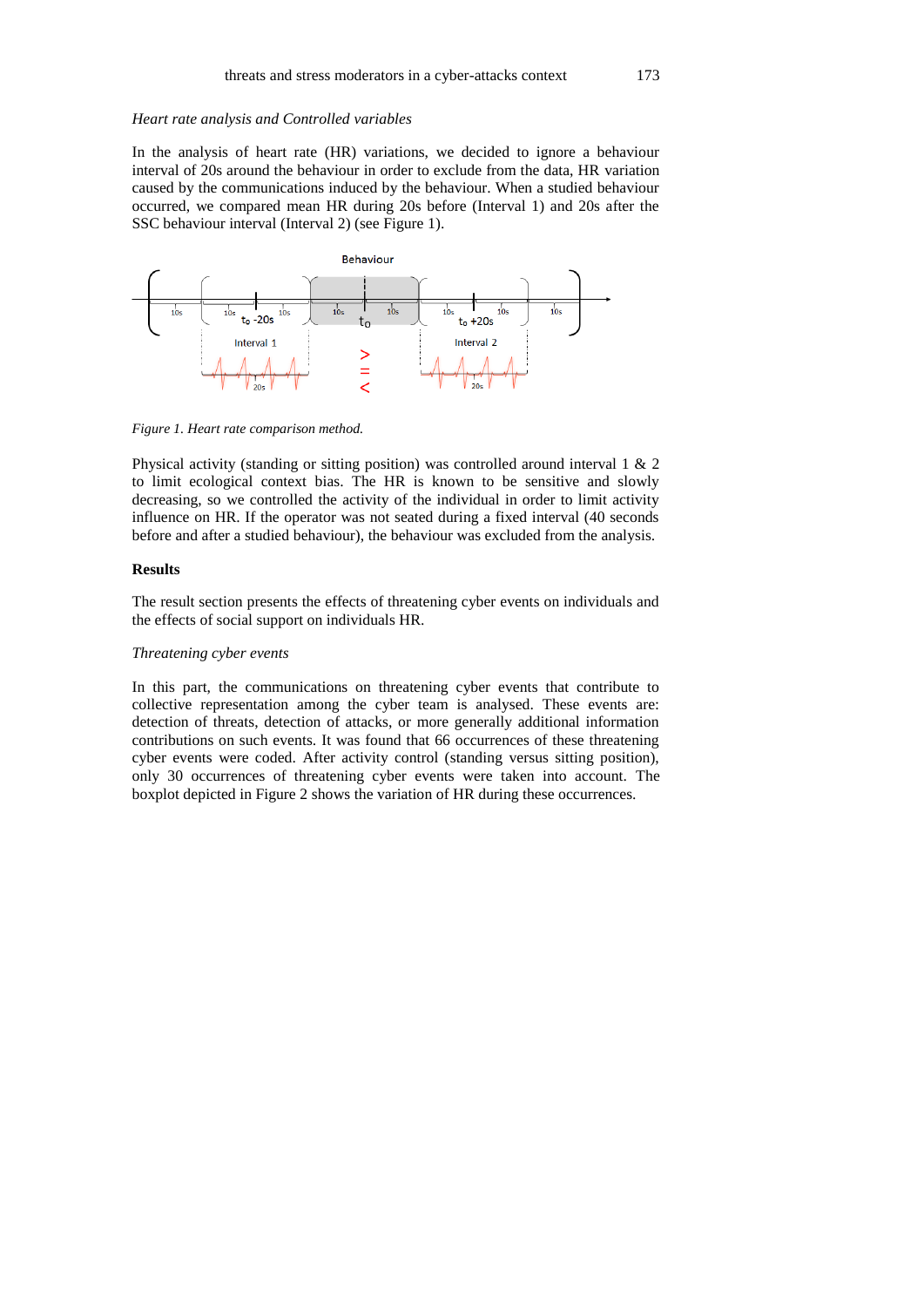#### *Heart rate analysis and Controlled variables*

In the analysis of heart rate (HR) variations, we decided to ignore a behaviour interval of 20s around the behaviour in order to exclude from the data, HR variation caused by the communications induced by the behaviour. When a studied behaviour occurred, we compared mean HR during 20s before (Interval 1) and 20s after the SSC behaviour interval (Interval 2) (see Figure 1).



*Figure 1. Heart rate comparison method.*

Physical activity (standing or sitting position) was controlled around interval 1 & 2 to limit ecological context bias. The HR is known to be sensitive and slowly decreasing, so we controlled the activity of the individual in order to limit activity influence on HR. If the operator was not seated during a fixed interval (40 seconds before and after a studied behaviour), the behaviour was excluded from the analysis.

## **Results**

The result section presents the effects of threatening cyber events on individuals and the effects of social support on individuals HR.

#### *Threatening cyber events*

In this part, the communications on threatening cyber events that contribute to collective representation among the cyber team is analysed. These events are: detection of threats, detection of attacks, or more generally additional information contributions on such events. It was found that 66 occurrences of these threatening cyber events were coded. After activity control (standing versus sitting position), only 30 occurrences of threatening cyber events were taken into account. The boxplot depicted in Figure 2 shows the variation of HR during these occurrences.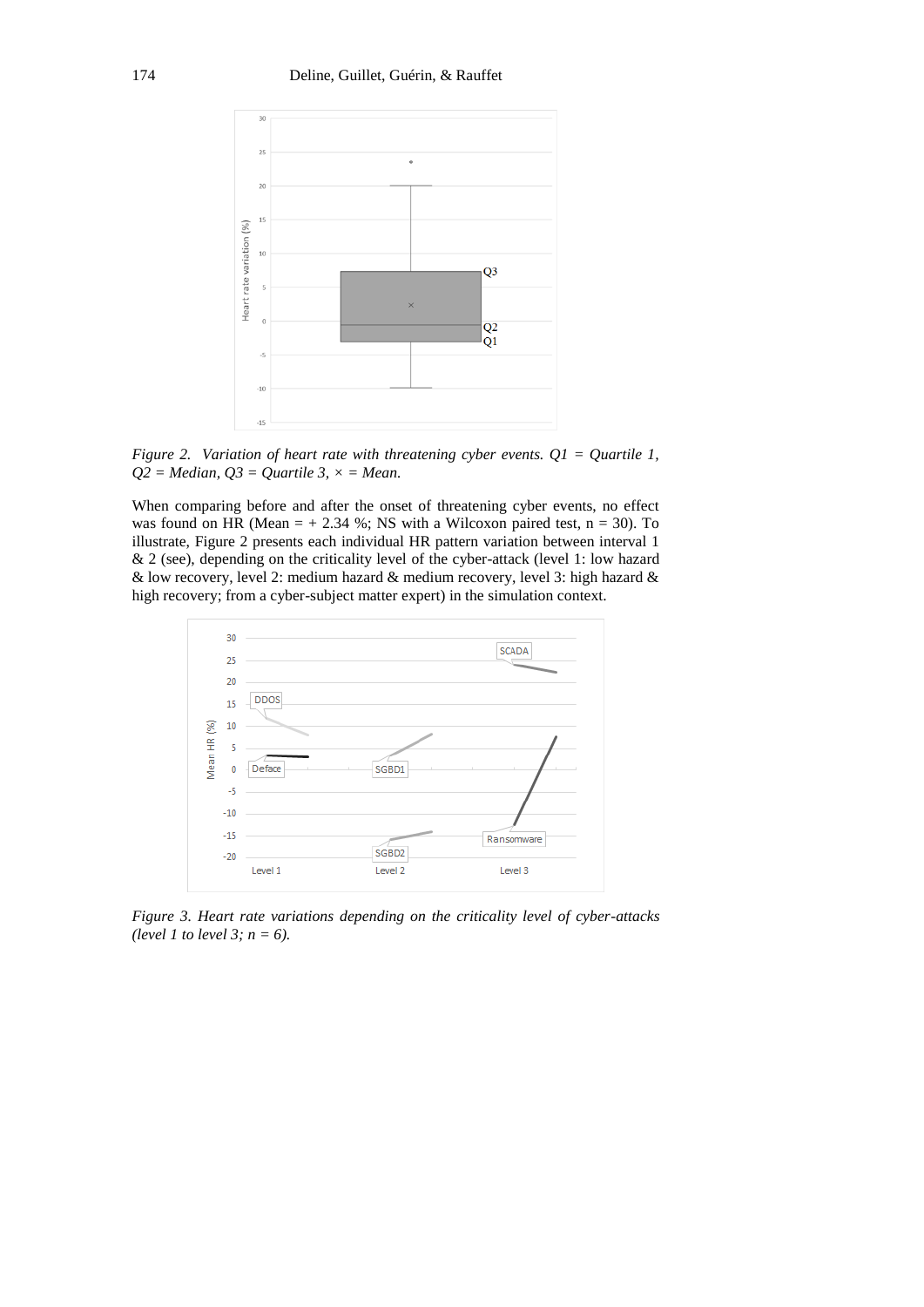

*Figure 2. Variation of heart rate with threatening cyber events. Q1 = Quartile 1, Q2 = Median, Q3 = Quartile 3, × = Mean.*

When comparing before and after the onset of threatening cyber events, no effect was found on HR (Mean  $= +2.34$  %; NS with a Wilcoxon paired test, n = 30). To illustrate, Figure 2 presents each individual HR pattern variation between interval 1 & 2 (see), depending on the criticality level of the cyber-attack (level 1: low hazard & low recovery, level 2: medium hazard & medium recovery, level 3: high hazard & high recovery; from a cyber-subject matter expert) in the simulation context.



*Figure 3. Heart rate variations depending on the criticality level of cyber-attacks (level 1 to level 3; n = 6).*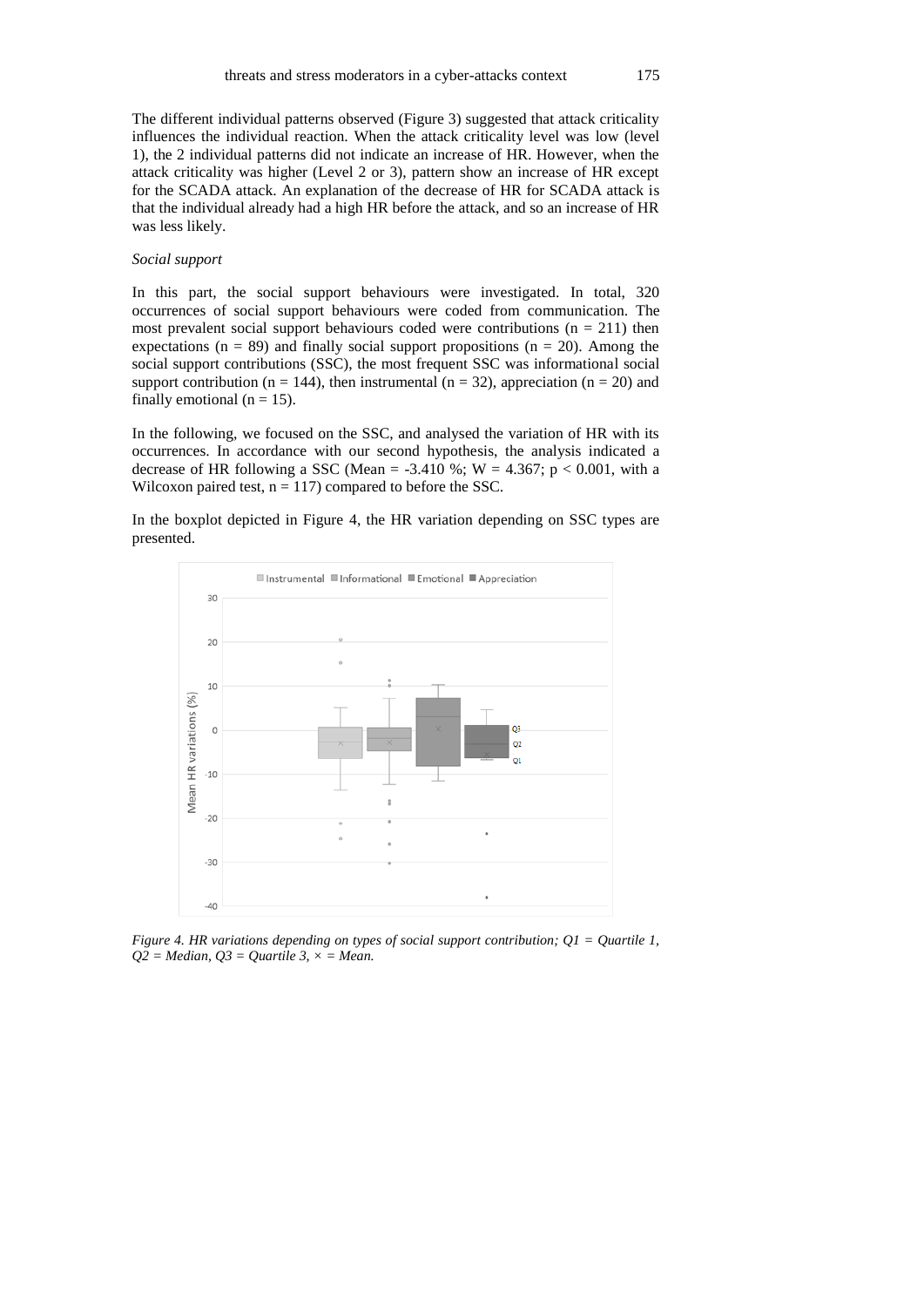The different individual patterns observed (Figure 3) suggested that attack criticality influences the individual reaction. When the attack criticality level was low (level 1), the 2 individual patterns did not indicate an increase of HR. However, when the attack criticality was higher (Level 2 or 3), pattern show an increase of HR except for the SCADA attack. An explanation of the decrease of HR for SCADA attack is that the individual already had a high HR before the attack, and so an increase of HR was less likely.

#### *Social support*

In this part, the social support behaviours were investigated. In total, 320 occurrences of social support behaviours were coded from communication. The most prevalent social support behaviours coded were contributions  $(n = 211)$  then expectations ( $n = 89$ ) and finally social support propositions ( $n = 20$ ). Among the social support contributions (SSC), the most frequent SSC was informational social support contribution ( $n = 144$ ), then instrumental ( $n = 32$ ), appreciation ( $n = 20$ ) and finally emotional ( $n = 15$ ).

In the following, we focused on the SSC, and analysed the variation of HR with its occurrences. In accordance with our second hypothesis, the analysis indicated a decrease of HR following a SSC (Mean = -3.410 %; W = 4.367;  $p < 0.001$ , with a Wilcoxon paired test,  $n = 117$ ) compared to before the SSC.

In the boxplot depicted in Figure 4, the HR variation depending on SSC types are presented.



*Figure 4. HR variations depending on types of social support contribution; Q1 = Quartile 1,*   $Q2 = Median$ ,  $Q3 = Quartile 3$ ,  $\times = Mean$ .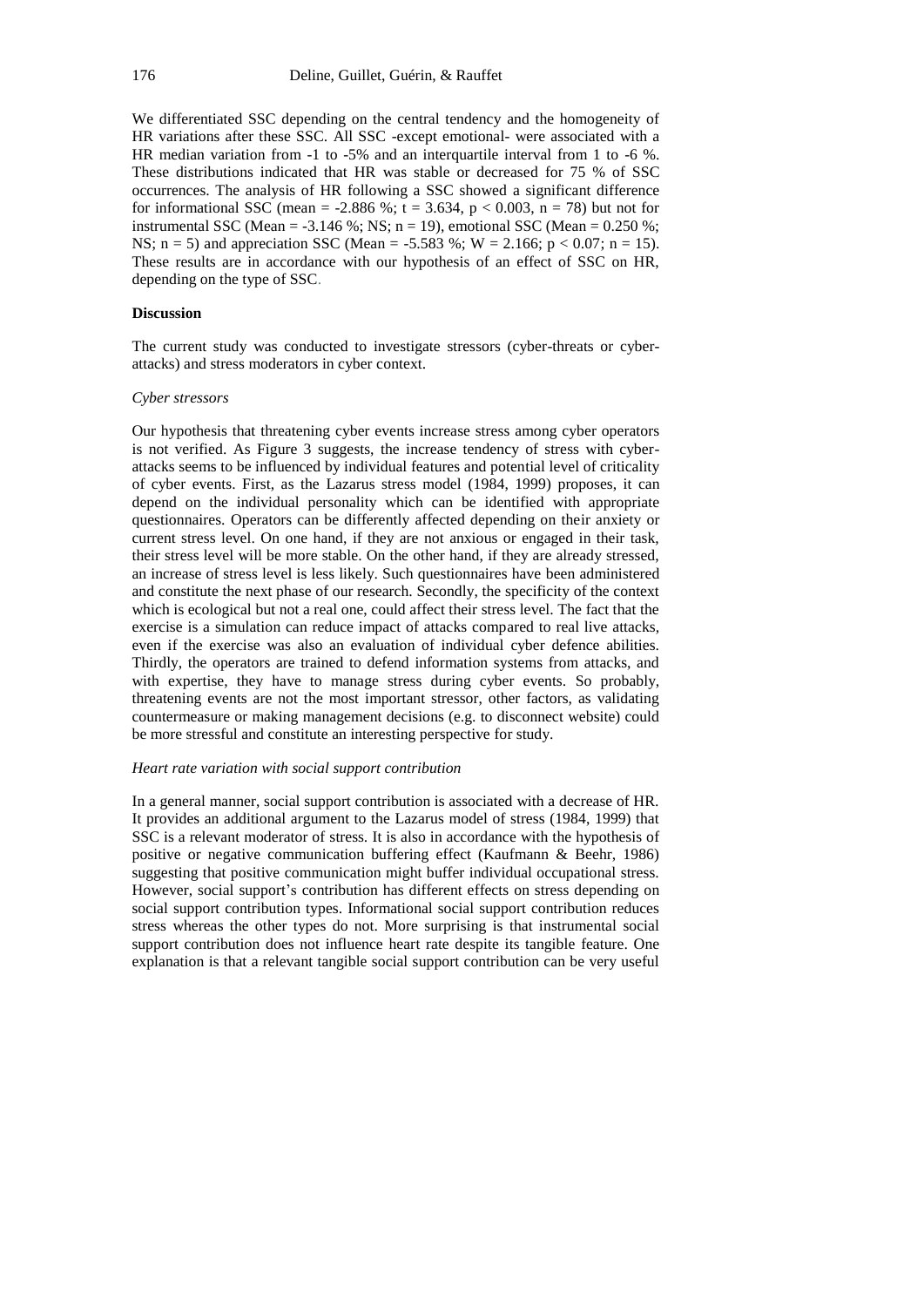We differentiated SSC depending on the central tendency and the homogeneity of HR variations after these SSC. All SSC -except emotional- were associated with a HR median variation from -1 to -5% and an interquartile interval from 1 to -6 %. These distributions indicated that HR was stable or decreased for 75 % of SSC occurrences. The analysis of HR following a SSC showed a significant difference for informational SSC (mean = -2.886 %; t = 3.634,  $p < 0.003$ , n = 78) but not for instrumental SSC (Mean =  $-3.146$  %; NS; n = 19), emotional SSC (Mean = 0.250 %; NS;  $n = 5$ ) and appreciation SSC (Mean = -5.583 %; W = 2.166;  $p < 0.07$ ;  $n = 15$ ). These results are in accordance with our hypothesis of an effect of SSC on HR, depending on the type of SSC.

## **Discussion**

The current study was conducted to investigate stressors (cyber-threats or cyberattacks) and stress moderators in cyber context.

### *Cyber stressors*

Our hypothesis that threatening cyber events increase stress among cyber operators is not verified. As Figure 3 suggests, the increase tendency of stress with cyberattacks seems to be influenced by individual features and potential level of criticality of cyber events. First, as the Lazarus stress model (1984, 1999) proposes, it can depend on the individual personality which can be identified with appropriate questionnaires. Operators can be differently affected depending on their anxiety or current stress level. On one hand, if they are not anxious or engaged in their task, their stress level will be more stable. On the other hand, if they are already stressed, an increase of stress level is less likely. Such questionnaires have been administered and constitute the next phase of our research. Secondly, the specificity of the context which is ecological but not a real one, could affect their stress level. The fact that the exercise is a simulation can reduce impact of attacks compared to real live attacks, even if the exercise was also an evaluation of individual cyber defence abilities. Thirdly, the operators are trained to defend information systems from attacks, and with expertise, they have to manage stress during cyber events. So probably, threatening events are not the most important stressor, other factors, as validating countermeasure or making management decisions (e.g. to disconnect website) could be more stressful and constitute an interesting perspective for study.

#### *Heart rate variation with social support contribution*

In a general manner, social support contribution is associated with a decrease of HR. It provides an additional argument to the Lazarus model of stress (1984, 1999) that SSC is a relevant moderator of stress. It is also in accordance with the hypothesis of positive or negative communication buffering effect (Kaufmann & Beehr, 1986) suggesting that positive communication might buffer individual occupational stress. However, social support's contribution has different effects on stress depending on social support contribution types. Informational social support contribution reduces stress whereas the other types do not. More surprising is that instrumental social support contribution does not influence heart rate despite its tangible feature. One explanation is that a relevant tangible social support contribution can be very useful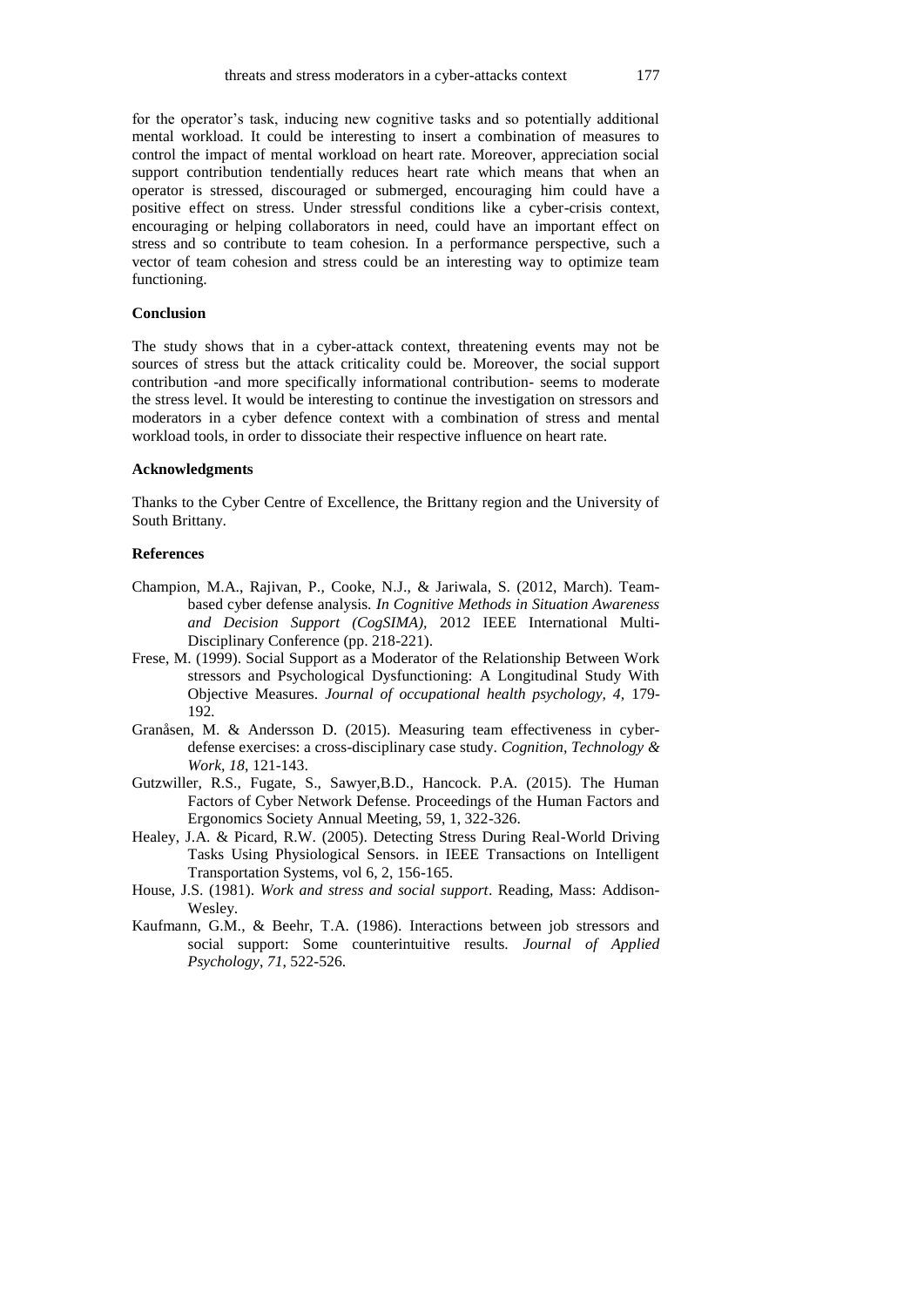for the operator's task, inducing new cognitive tasks and so potentially additional mental workload. It could be interesting to insert a combination of measures to control the impact of mental workload on heart rate. Moreover, appreciation social support contribution tendentially reduces heart rate which means that when an operator is stressed, discouraged or submerged, encouraging him could have a positive effect on stress. Under stressful conditions like a cyber-crisis context, encouraging or helping collaborators in need, could have an important effect on stress and so contribute to team cohesion. In a performance perspective, such a vector of team cohesion and stress could be an interesting way to optimize team functioning.

## **Conclusion**

The study shows that in a cyber-attack context, threatening events may not be sources of stress but the attack criticality could be. Moreover, the social support contribution -and more specifically informational contribution- seems to moderate the stress level. It would be interesting to continue the investigation on stressors and moderators in a cyber defence context with a combination of stress and mental workload tools, in order to dissociate their respective influence on heart rate.

## **Acknowledgments**

Thanks to the Cyber Centre of Excellence, the Brittany region and the University of South Brittany.

## **References**

- Champion, M.A., Rajivan, P., Cooke, N.J., & Jariwala, S. (2012, March). Teambased cyber defense analysis. *In Cognitive Methods in Situation Awareness and Decision Support (CogSIMA),* 2012 IEEE International Multi-Disciplinary Conference (pp. 218-221).
- Frese, M. (1999). Social Support as a Moderator of the Relationship Between Work stressors and Psychological Dysfunctioning: A Longitudinal Study With Objective Measures. *Journal of occupational health psychology, 4,* 179- 192*.*
- Granåsen, M. & Andersson D. (2015). Measuring team effectiveness in cyberdefense exercises: a cross-disciplinary case study. *Cognition, Technology & Work, 18*, 121-143.
- Gutzwiller, R.S., Fugate, S., Sawyer,B.D., Hancock. P.A. (2015). The Human Factors of Cyber Network Defense. Proceedings of the Human Factors and Ergonomics Society Annual Meeting, 59, 1, 322-326.
- Healey, J.A. & Picard, R.W. (2005). Detecting Stress During Real-World Driving Tasks Using Physiological Sensors. in IEEE Transactions on Intelligent Transportation Systems, vol 6, 2, 156-165.
- House, J.S. (1981). *Work and stress and social support*. Reading, Mass: Addison-Wesley.
- Kaufmann, G.M., & Beehr, T.A. (1986). Interactions between job stressors and social support: Some counterintuitive results. *Journal of Applied Psychology*, *71*, 522-526.